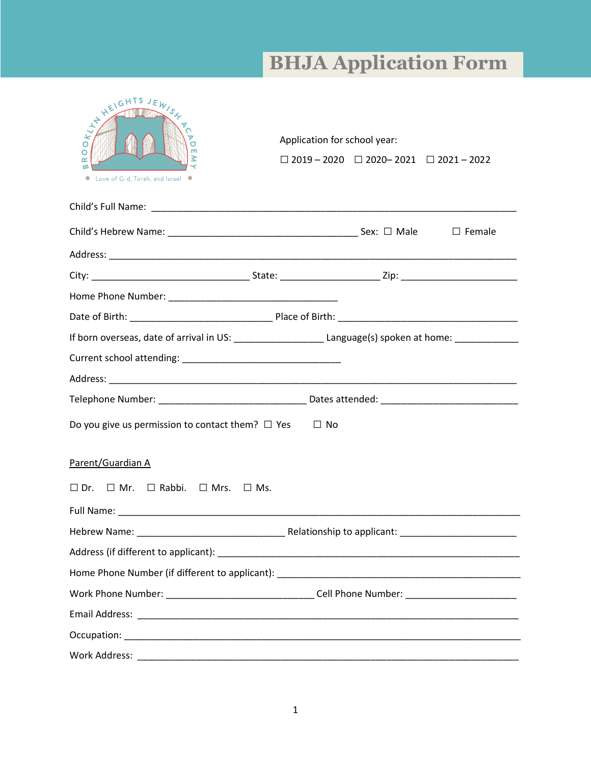## **BHJA Application Form**

| SOFFICERS AND VERY S.S.<br>m<br>œ<br>Love of G-d, Torah, and Israel ●                                      |  | Application for school year:<br>$\Box$ 2019 - 2020 $\Box$ 2020 - 2021 $\Box$ 2021 - 2022 |  |
|------------------------------------------------------------------------------------------------------------|--|------------------------------------------------------------------------------------------|--|
|                                                                                                            |  |                                                                                          |  |
|                                                                                                            |  |                                                                                          |  |
|                                                                                                            |  |                                                                                          |  |
|                                                                                                            |  |                                                                                          |  |
|                                                                                                            |  |                                                                                          |  |
|                                                                                                            |  |                                                                                          |  |
| If born overseas, date of arrival in US: ________________________Language(s) spoken at home: _____________ |  |                                                                                          |  |
|                                                                                                            |  |                                                                                          |  |
|                                                                                                            |  |                                                                                          |  |
|                                                                                                            |  |                                                                                          |  |
| Do you give us permission to contact them? $\Box$ Yes                                                      |  | $\Box$ No                                                                                |  |
| Parent/Guardian A                                                                                          |  |                                                                                          |  |
| $\square$ Dr. $\square$ Mr. $\square$ Rabbi. $\square$ Mrs. $\square$ Ms.                                  |  |                                                                                          |  |
|                                                                                                            |  |                                                                                          |  |
|                                                                                                            |  |                                                                                          |  |
|                                                                                                            |  |                                                                                          |  |
|                                                                                                            |  |                                                                                          |  |
| Work Phone Number: __________________________________Cell Phone Number: ___________________________        |  |                                                                                          |  |
|                                                                                                            |  |                                                                                          |  |
|                                                                                                            |  |                                                                                          |  |
|                                                                                                            |  |                                                                                          |  |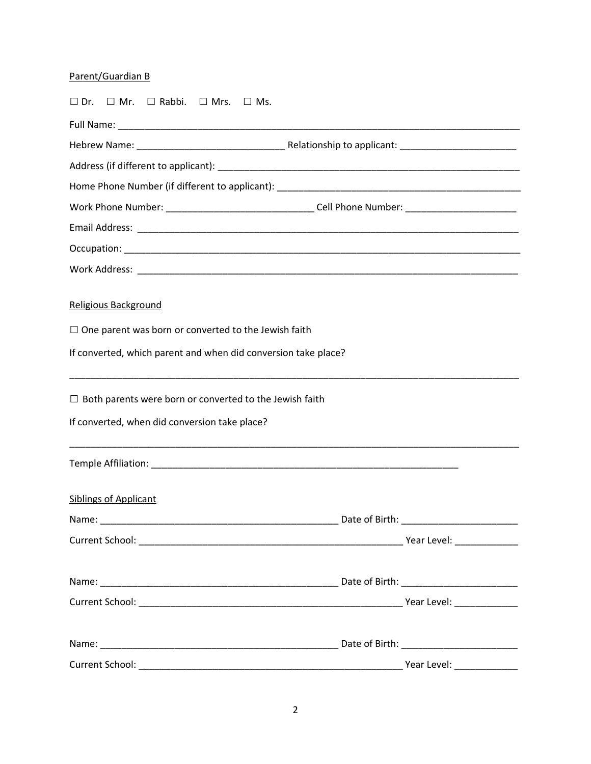## Parent/Guardian B

| $\square$ Dr. $\square$ Mr. $\square$ Rabbi. $\square$ Mrs. $\square$ Ms.                           |  |  |  |  |
|-----------------------------------------------------------------------------------------------------|--|--|--|--|
|                                                                                                     |  |  |  |  |
|                                                                                                     |  |  |  |  |
|                                                                                                     |  |  |  |  |
|                                                                                                     |  |  |  |  |
| Work Phone Number: ___________________________________Cell Phone Number: __________________________ |  |  |  |  |
|                                                                                                     |  |  |  |  |
|                                                                                                     |  |  |  |  |
|                                                                                                     |  |  |  |  |
| Religious Background                                                                                |  |  |  |  |
| $\Box$ One parent was born or converted to the Jewish faith                                         |  |  |  |  |
| If converted, which parent and when did conversion take place?                                      |  |  |  |  |
| $\Box$ Both parents were born or converted to the Jewish faith                                      |  |  |  |  |
| If converted, when did conversion take place?                                                       |  |  |  |  |
|                                                                                                     |  |  |  |  |
| <b>Siblings of Applicant</b>                                                                        |  |  |  |  |
|                                                                                                     |  |  |  |  |
|                                                                                                     |  |  |  |  |
|                                                                                                     |  |  |  |  |
|                                                                                                     |  |  |  |  |
|                                                                                                     |  |  |  |  |
|                                                                                                     |  |  |  |  |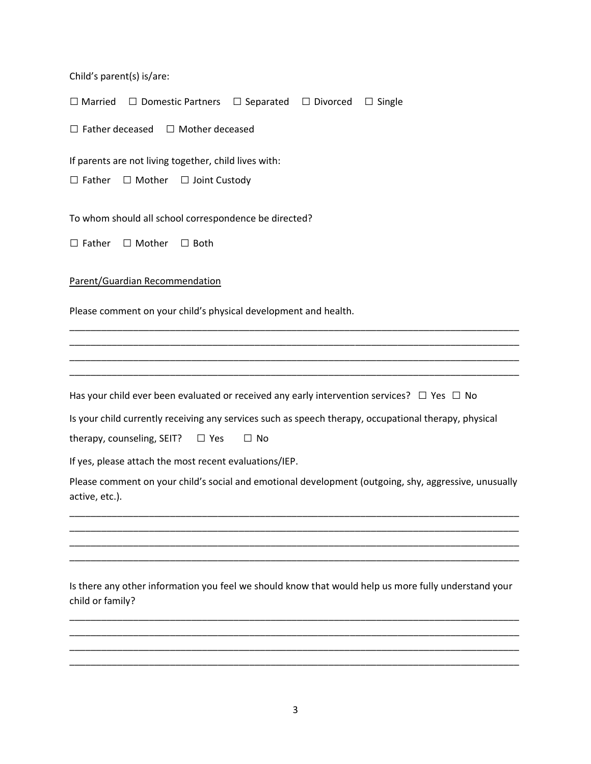Child's parent(s) is/are:

□ Married □ Domestic Partners □ Separated □ Divorced □ Single

□ Father deceased □ Mother deceased

If parents are not living together, child lives with:

□ Father □ Mother □ Joint Custody

To whom should all school correspondence be directed?

□ Father □ Mother □ Both

Parent/Guardian Recommendation

Please comment on your child's physical development and health.

Has your child ever been evaluated or received any early intervention services?  $\Box$  Yes  $\Box$  No

Is your child currently receiving any services such as speech therapy, occupational therapy, physical

\_\_\_\_\_\_\_\_\_\_\_\_\_\_\_\_\_\_\_\_\_\_\_\_\_\_\_\_\_\_\_\_\_\_\_\_\_\_\_\_\_\_\_\_\_\_\_\_\_\_\_\_\_\_\_\_\_\_\_\_\_\_\_\_\_\_\_\_\_\_\_\_\_\_\_\_\_\_\_\_\_\_\_\_\_ \_\_\_\_\_\_\_\_\_\_\_\_\_\_\_\_\_\_\_\_\_\_\_\_\_\_\_\_\_\_\_\_\_\_\_\_\_\_\_\_\_\_\_\_\_\_\_\_\_\_\_\_\_\_\_\_\_\_\_\_\_\_\_\_\_\_\_\_\_\_\_\_\_\_\_\_\_\_\_\_\_\_\_\_\_ \_\_\_\_\_\_\_\_\_\_\_\_\_\_\_\_\_\_\_\_\_\_\_\_\_\_\_\_\_\_\_\_\_\_\_\_\_\_\_\_\_\_\_\_\_\_\_\_\_\_\_\_\_\_\_\_\_\_\_\_\_\_\_\_\_\_\_\_\_\_\_\_\_\_\_\_\_\_\_\_\_\_\_\_\_ \_\_\_\_\_\_\_\_\_\_\_\_\_\_\_\_\_\_\_\_\_\_\_\_\_\_\_\_\_\_\_\_\_\_\_\_\_\_\_\_\_\_\_\_\_\_\_\_\_\_\_\_\_\_\_\_\_\_\_\_\_\_\_\_\_\_\_\_\_\_\_\_\_\_\_\_\_\_\_\_\_\_\_\_\_

therapy, counseling, SEIT?  $\Box$  Yes  $\Box$  No

If yes, please attach the most recent evaluations/IEP.

Please comment on your child's social and emotional development (outgoing, shy, aggressive, unusually active, etc.).

\_\_\_\_\_\_\_\_\_\_\_\_\_\_\_\_\_\_\_\_\_\_\_\_\_\_\_\_\_\_\_\_\_\_\_\_\_\_\_\_\_\_\_\_\_\_\_\_\_\_\_\_\_\_\_\_\_\_\_\_\_\_\_\_\_\_\_\_\_\_\_\_\_\_\_\_\_\_\_\_\_\_\_\_\_ \_\_\_\_\_\_\_\_\_\_\_\_\_\_\_\_\_\_\_\_\_\_\_\_\_\_\_\_\_\_\_\_\_\_\_\_\_\_\_\_\_\_\_\_\_\_\_\_\_\_\_\_\_\_\_\_\_\_\_\_\_\_\_\_\_\_\_\_\_\_\_\_\_\_\_\_\_\_\_\_\_\_\_\_\_ \_\_\_\_\_\_\_\_\_\_\_\_\_\_\_\_\_\_\_\_\_\_\_\_\_\_\_\_\_\_\_\_\_\_\_\_\_\_\_\_\_\_\_\_\_\_\_\_\_\_\_\_\_\_\_\_\_\_\_\_\_\_\_\_\_\_\_\_\_\_\_\_\_\_\_\_\_\_\_\_\_\_\_\_\_ \_\_\_\_\_\_\_\_\_\_\_\_\_\_\_\_\_\_\_\_\_\_\_\_\_\_\_\_\_\_\_\_\_\_\_\_\_\_\_\_\_\_\_\_\_\_\_\_\_\_\_\_\_\_\_\_\_\_\_\_\_\_\_\_\_\_\_\_\_\_\_\_\_\_\_\_\_\_\_\_\_\_\_\_\_

Is there any other information you feel we should know that would help us more fully understand your child or family?

\_\_\_\_\_\_\_\_\_\_\_\_\_\_\_\_\_\_\_\_\_\_\_\_\_\_\_\_\_\_\_\_\_\_\_\_\_\_\_\_\_\_\_\_\_\_\_\_\_\_\_\_\_\_\_\_\_\_\_\_\_\_\_\_\_\_\_\_\_\_\_\_\_\_\_\_\_\_\_\_\_\_\_\_\_ \_\_\_\_\_\_\_\_\_\_\_\_\_\_\_\_\_\_\_\_\_\_\_\_\_\_\_\_\_\_\_\_\_\_\_\_\_\_\_\_\_\_\_\_\_\_\_\_\_\_\_\_\_\_\_\_\_\_\_\_\_\_\_\_\_\_\_\_\_\_\_\_\_\_\_\_\_\_\_\_\_\_\_\_\_ \_\_\_\_\_\_\_\_\_\_\_\_\_\_\_\_\_\_\_\_\_\_\_\_\_\_\_\_\_\_\_\_\_\_\_\_\_\_\_\_\_\_\_\_\_\_\_\_\_\_\_\_\_\_\_\_\_\_\_\_\_\_\_\_\_\_\_\_\_\_\_\_\_\_\_\_\_\_\_\_\_\_\_\_\_ \_\_\_\_\_\_\_\_\_\_\_\_\_\_\_\_\_\_\_\_\_\_\_\_\_\_\_\_\_\_\_\_\_\_\_\_\_\_\_\_\_\_\_\_\_\_\_\_\_\_\_\_\_\_\_\_\_\_\_\_\_\_\_\_\_\_\_\_\_\_\_\_\_\_\_\_\_\_\_\_\_\_\_\_\_